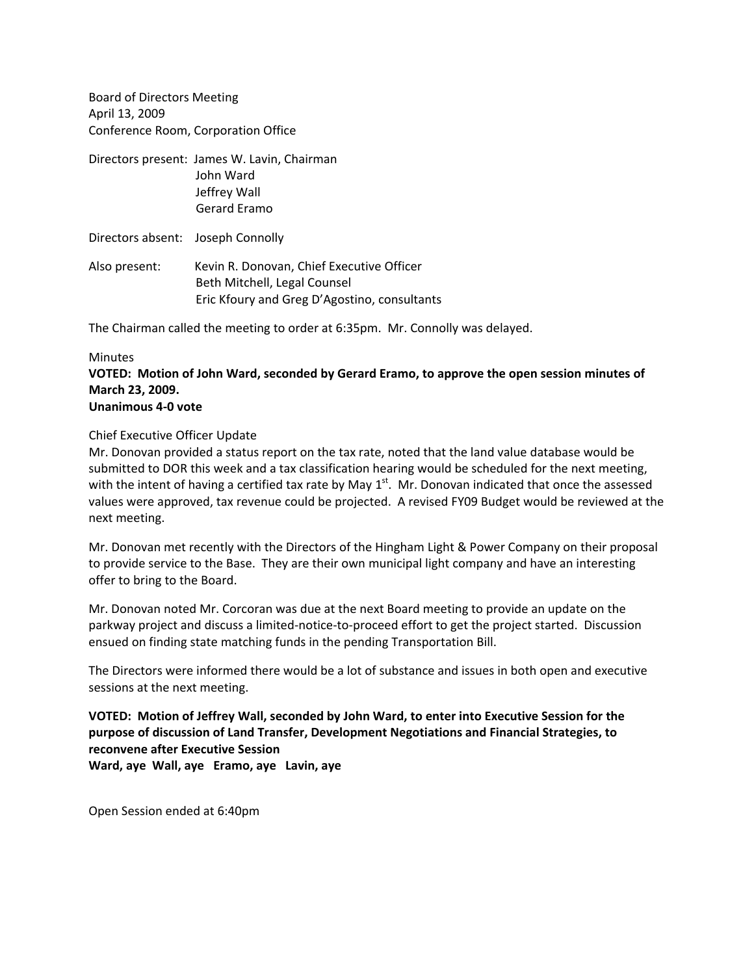Board of Directors Meeting April 13, 2009 Conference Room, Corporation Office

Directors present: James W. Lavin, Chairman John Ward Jeffrey Wall Gerard Eramo

Directors absent: Joseph Connolly

Also present: Kevin R. Donovan, Chief Executive Officer Beth Mitchell, Legal Counsel Eric Kfoury and Greg D'Agostino, consultants

The Chairman called the meeting to order at 6:35pm. Mr. Connolly was delayed.

## Minutes

**VOTED: Motion of John Ward, seconded by Gerard Eramo, to approve the open session minutes of March 23, 2009.**

## **Unanimous 4‐0 vote**

## Chief Executive Officer Update

Mr. Donovan provided a status report on the tax rate, noted that the land value database would be submitted to DOR this week and a tax classification hearing would be scheduled for the next meeting, with the intent of having a certified tax rate by May  $1<sup>st</sup>$ . Mr. Donovan indicated that once the assessed values were approved, tax revenue could be projected. A revised FY09 Budget would be reviewed at the next meeting.

Mr. Donovan met recently with the Directors of the Hingham Light & Power Company on their proposal to provide service to the Base. They are their own municipal light company and have an interesting offer to bring to the Board.

Mr. Donovan noted Mr. Corcoran was due at the next Board meeting to provide an update on the parkway project and discuss a limited‐notice‐to‐proceed effort to get the project started. Discussion ensued on finding state matching funds in the pending Transportation Bill.

The Directors were informed there would be a lot of substance and issues in both open and executive sessions at the next meeting.

**VOTED: Motion of Jeffrey Wall, seconded by John Ward, to enter into Executive Session for the purpose of discussion of Land Transfer, Development Negotiations and Financial Strategies, to reconvene after Executive Session**

**Ward, aye Wall, aye Eramo, aye Lavin, aye**

Open Session ended at 6:40pm